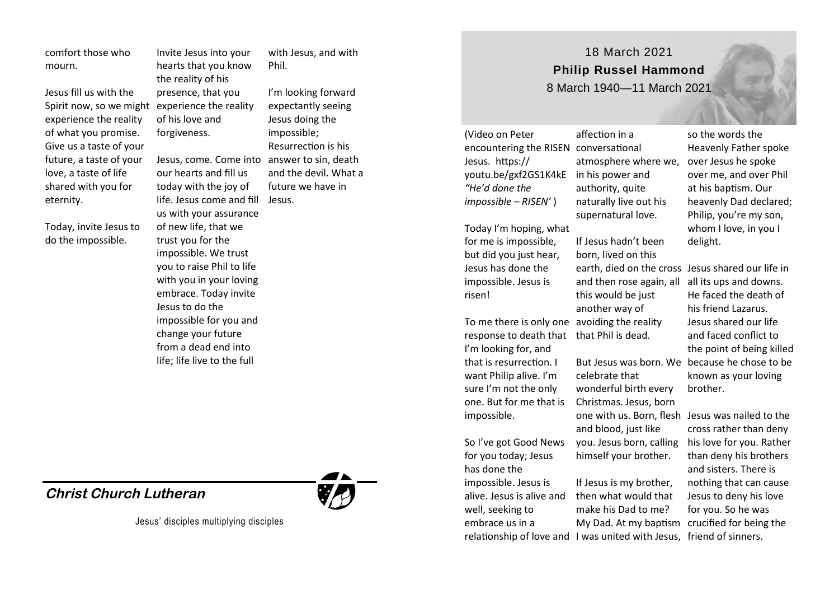comfort those who mourn.

Jesus fill us with the experience the reality of what you promise. Give us a taste of your future, a taste of your love, a taste of life shared with you for eternity.

Today, invite Jesus to do the impossible.

Spirit now, so we might experience the reality Invite Jesus into your hearts that you know the reality of his presence, that you of his love and forgiveness.

> Jesus, come. Come into answer to sin, death our hearts and fill us today with the joy of life. Jesus come and fill Jesus. us with your assurance of new life, that we trust you for the impossible. We trust you to raise Phil to life with you in your loving embrace. Today invite Jesus to do the impossible for you and change your future from a dead end into life; life live to the full

## **Christ Church Lutheran**

Jesus' disciples multiplying disciples

with Jesus, and with Phil.

I'm looking forward expectantly seeing Jesus doing the impossible; Resurrection is his and the devil. What a future we have in

(Video on Peter encountering the RISEN conversational affection in a

response to death that that Phil is dead.

Jesus. https://

*"He'd done the impossible – RISEN'* )

risen!

Today I'm hoping, what for me is impossible, but did you just hear, Jesus has done the impossible. Jesus is

I'm looking for, and that is resurrection. I want Philip alive. I'm sure I'm not the only

So I've got Good News for you today; Jesus has done the impossible. Jesus is

impossible.

well, seeking to embrace us in a

youtu.be/gxf2GS1K4kE in his power and atmosphere where we, authority, quite naturally live out his supernatural love.

18 March 2021 **Philip Russel Hammond**  8 March 1940—11 March 2021

To me there is only one avoiding the reality If Jesus hadn't been born, lived on this this would be just another way of

one. But for me that is Christmas. Jesus, born celebrate that wonderful birth every one with us. Born, flesh Jesus was nailed to the and blood, just like you. Jesus born, calling his love for you. Rather himself your brother.

alive. Jesus is alive and relationship of love and I was united with Jesus, friend of sinners. If Jesus is my brother, then what would that make his Dad to me?

so the words the Heavenly Father spoke over Jesus he spoke over me, and over Phil at his baptism. Our heavenly Dad declared; Philip, you're my son, whom I love, in you I delight.

earth, died on the cross Jesus shared our life in and then rose again, all all its ups and downs. But Jesus was born. We because he chose to be He faced the death of his friend Lazarus. Jesus shared our life and faced conflict to the point of being killed known as your loving brother.

My Dad. At my baptism crucified for being the cross rather than deny than deny his brothers and sisters. There is nothing that can cause Jesus to deny his love for you. So he was